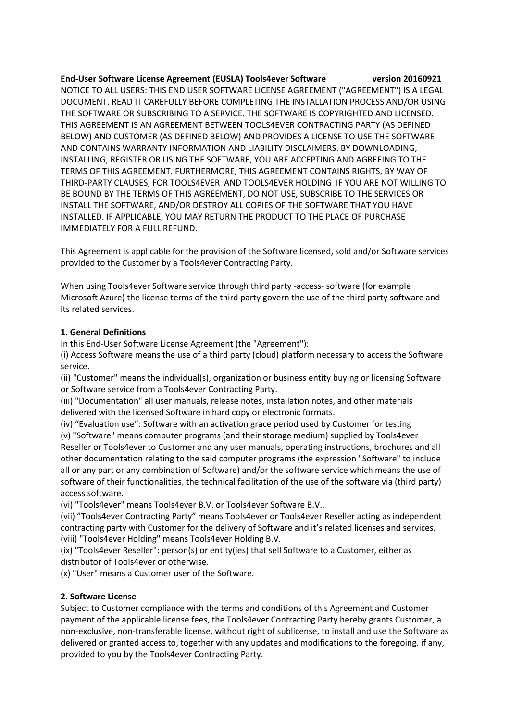**End-User Software License Agreement (EUSLA) Tools4ever Software version 20160921** NOTICE TO ALL USERS: THIS END USER SOFTWARE LICENSE AGREEMENT ("AGREEMENT") IS A LEGAL DOCUMENT. READ IT CAREFULLY BEFORE COMPLETING THE INSTALLATION PROCESS AND/OR USING THE SOFTWARE OR SUBSCRIBING TO A SERVICE. THE SOFTWARE IS COPYRIGHTED AND LICENSED. THIS AGREEMENT IS AN AGREEMENT BETWEEN TOOLS4EVER CONTRACTING PARTY (AS DEFINED BELOW) AND CUSTOMER (AS DEFINED BELOW) AND PROVIDES A LICENSE TO USE THE SOFTWARE AND CONTAINS WARRANTY INFORMATION AND LIABILITY DISCLAIMERS. BY DOWNLOADING, INSTALLING, REGISTER OR USING THE SOFTWARE, YOU ARE ACCEPTING AND AGREEING TO THE TERMS OF THIS AGREEMENT. FURTHERMORE, THIS AGREEMENT CONTAINS RIGHTS, BY WAY OF THIRD-PARTY CLAUSES, FOR TOOLS4EVER AND TOOLS4EVER HOLDING IF YOU ARE NOT WILLING TO BE BOUND BY THE TERMS OF THIS AGREEMENT, DO NOT USE, SUBSCRIBE TO THE SERVICES OR INSTALL THE SOFTWARE, AND/OR DESTROY ALL COPIES OF THE SOFTWARE THAT YOU HAVE INSTALLED. IF APPLICABLE, YOU MAY RETURN THE PRODUCT TO THE PLACE OF PURCHASE IMMEDIATELY FOR A FULL REFUND.

This Agreement is applicable for the provision of the Software licensed, sold and/or Software services provided to the Customer by a Tools4ever Contracting Party.

When using Tools4ever Software service through third party -access- software (for example Microsoft Azure) the license terms of the third party govern the use of the third party software and its related services.

## **1. General Definitions**

In this End-User Software License Agreement (the "Agreement"):

(i) Access Software means the use of a third party (cloud) platform necessary to access the Software service.

(ii) "Customer" means the individual(s), organization or business entity buying or licensing Software or Software service from a Tools4ever Contracting Party.

(iii) "Documentation" all user manuals, release notes, installation notes, and other materials delivered with the licensed Software in hard copy or electronic formats.

(iv) "Evaluation use": Software with an activation grace period used by Customer for testing

(v) "Software" means computer programs (and their storage medium) supplied by Tools4ever Reseller or Tools4ever to Customer and any user manuals, operating instructions, brochures and all other documentation relating to the said computer programs (the expression "Software" to include all or any part or any combination of Software) and/or the software service which means the use of software of their functionalities, the technical facilitation of the use of the software via (third party) access software.

(vi) "Tools4ever" means Tools4ever B.V. or Tools4ever Software B.V..

(vii) "Tools4ever Contracting Party" means Tools4ever or Tools4ever Reseller acting as independent contracting party with Customer for the delivery of Software and it's related licenses and services. (viii) "Tools4ever Holding" means Tools4ever Holding B.V.

(ix) "Tools4ever Reseller": person(s) or entity(ies) that sell Software to a Customer, either as distributor of Tools4ever or otherwise.

(x) "User" means a Customer user of the Software.

# **2. Software License**

Subject to Customer compliance with the terms and conditions of this Agreement and Customer payment of the applicable license fees, the Tools4ever Contracting Party hereby grants Customer, a non-exclusive, non-transferable license, without right of sublicense, to install and use the Software as delivered or granted access to, together with any updates and modifications to the foregoing, if any, provided to you by the Tools4ever Contracting Party.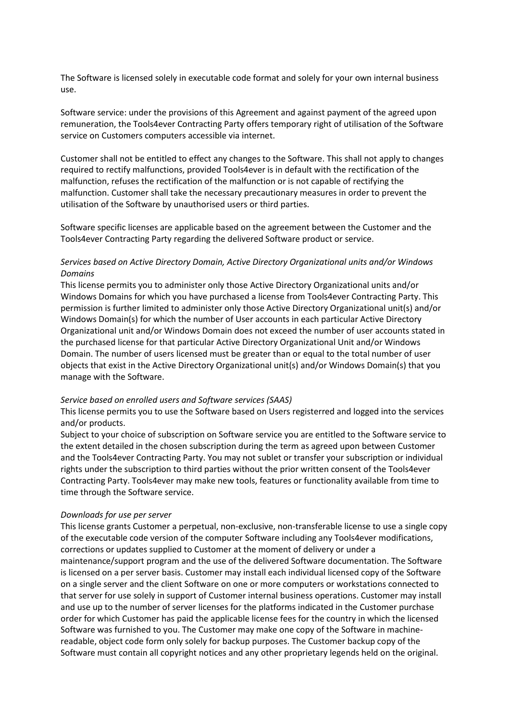The Software is licensed solely in executable code format and solely for your own internal business use.

Software service: under the provisions of this Agreement and against payment of the agreed upon remuneration, the Tools4ever Contracting Party offers temporary right of utilisation of the Software service on Customers computers accessible via internet.

Customer shall not be entitled to effect any changes to the Software. This shall not apply to changes required to rectify malfunctions, provided Tools4ever is in default with the rectification of the malfunction, refuses the rectification of the malfunction or is not capable of rectifying the malfunction. Customer shall take the necessary precautionary measures in order to prevent the utilisation of the Software by unauthorised users or third parties.

Software specific licenses are applicable based on the agreement between the Customer and the Tools4ever Contracting Party regarding the delivered Software product or service.

## *Services based on Active Directory Domain, Active Directory Organizational units and/or Windows Domains*

This license permits you to administer only those Active Directory Organizational units and/or Windows Domains for which you have purchased a license from Tools4ever Contracting Party. This permission is further limited to administer only those Active Directory Organizational unit(s) and/or Windows Domain(s) for which the number of User accounts in each particular Active Directory Organizational unit and/or Windows Domain does not exceed the number of user accounts stated in the purchased license for that particular Active Directory Organizational Unit and/or Windows Domain. The number of users licensed must be greater than or equal to the total number of user objects that exist in the Active Directory Organizational unit(s) and/or Windows Domain(s) that you manage with the Software.

#### *Service based on enrolled users and Software services (SAAS)*

This license permits you to use the Software based on Users registerred and logged into the services and/or products.

Subject to your choice of subscription on Software service you are entitled to the Software service to the extent detailed in the chosen subscription during the term as agreed upon between Customer and the Tools4ever Contracting Party. You may not sublet or transfer your subscription or individual rights under the subscription to third parties without the prior written consent of the Tools4ever Contracting Party. Tools4ever may make new tools, features or functionality available from time to time through the Software service.

#### *Downloads for use per server*

This license grants Customer a perpetual, non-exclusive, non-transferable license to use a single copy of the executable code version of the computer Software including any Tools4ever modifications, corrections or updates supplied to Customer at the moment of delivery or under a maintenance/support program and the use of the delivered Software documentation. The Software is licensed on a per server basis. Customer may install each individual licensed copy of the Software on a single server and the client Software on one or more computers or workstations connected to that server for use solely in support of Customer internal business operations. Customer may install and use up to the number of server licenses for the platforms indicated in the Customer purchase order for which Customer has paid the applicable license fees for the country in which the licensed Software was furnished to you. The Customer may make one copy of the Software in machinereadable, object code form only solely for backup purposes. The Customer backup copy of the Software must contain all copyright notices and any other proprietary legends held on the original.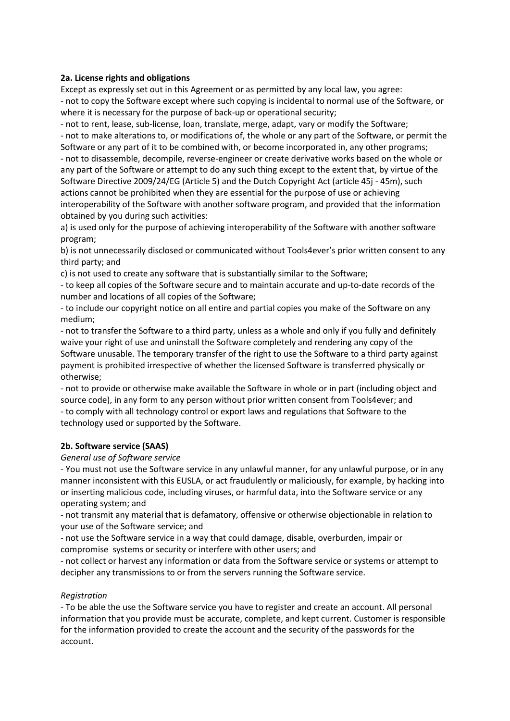## **2a. License rights and obligations**

Except as expressly set out in this Agreement or as permitted by any local law, you agree: - not to copy the Software except where such copying is incidental to normal use of the Software, or where it is necessary for the purpose of back-up or operational security;

- not to rent, lease, sub-license, loan, translate, merge, adapt, vary or modify the Software; - not to make alterations to, or modifications of, the whole or any part of the Software, or permit the Software or any part of it to be combined with, or become incorporated in, any other programs; - not to disassemble, decompile, reverse-engineer or create derivative works based on the whole or any part of the Software or attempt to do any such thing except to the extent that, by virtue of the Software Directive 2009/24/EG (Article 5) and the Dutch Copyright Act (article 45j - 45m), such actions cannot be prohibited when they are essential for the purpose of use or achieving interoperability of the Software with another software program, and provided that the information obtained by you during such activities:

a) is used only for the purpose of achieving interoperability of the Software with another software program;

b) is not unnecessarily disclosed or communicated without Tools4ever's prior written consent to any third party; and

c) is not used to create any software that is substantially similar to the Software;

- to keep all copies of the Software secure and to maintain accurate and up-to-date records of the number and locations of all copies of the Software;

- to include our copyright notice on all entire and partial copies you make of the Software on any medium;

- not to transfer the Software to a third party, unless as a whole and only if you fully and definitely waive your right of use and uninstall the Software completely and rendering any copy of the Software unusable. The temporary transfer of the right to use the Software to a third party against payment is prohibited irrespective of whether the licensed Software is transferred physically or otherwise;

- not to provide or otherwise make available the Software in whole or in part (including object and source code), in any form to any person without prior written consent from Tools4ever; and

- to comply with all technology control or export laws and regulations that Software to the technology used or supported by the Software.

# **2b. Software service (SAAS)**

### *General use of Software service*

- You must not use the Software service in any unlawful manner, for any unlawful purpose, or in any manner inconsistent with this EUSLA, or act fraudulently or maliciously, for example, by hacking into or inserting malicious code, including viruses, or harmful data, into the Software service or any operating system; and

- not transmit any material that is defamatory, offensive or otherwise objectionable in relation to your use of the Software service; and

- not use the Software service in a way that could damage, disable, overburden, impair or compromise systems or security or interfere with other users; and

- not collect or harvest any information or data from the Software service or systems or attempt to decipher any transmissions to or from the servers running the Software service.

# *Registration*

- To be able the use the Software service you have to register and create an account. All personal information that you provide must be accurate, complete, and kept current. Customer is responsible for the information provided to create the account and the security of the passwords for the account.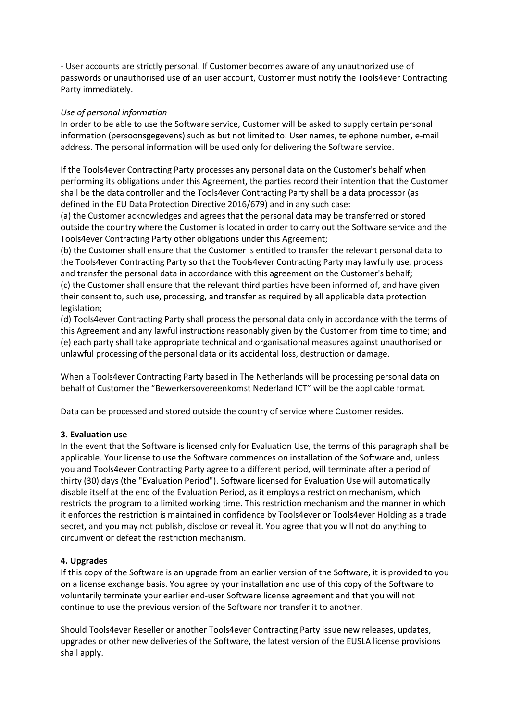- User accounts are strictly personal. If Customer becomes aware of any unauthorized use of passwords or unauthorised use of an user account, Customer must notify the Tools4ever Contracting Party immediately.

## *Use of personal information*

In order to be able to use the Software service, Customer will be asked to supply certain personal information (persoonsgegevens) such as but not limited to: User names, telephone number, e-mail address. The personal information will be used only for delivering the Software service.

If the Tools4ever Contracting Party processes any personal data on the Customer's behalf when performing its obligations under this Agreement, the parties record their intention that the Customer shall be the data controller and the Tools4ever Contracting Party shall be a data processor (as defined in the EU Data Protection Directive 2016/679) and in any such case:

(a) the Customer acknowledges and agrees that the personal data may be transferred or stored outside the country where the Customer is located in order to carry out the Software service and the Tools4ever Contracting Party other obligations under this Agreement;

(b) the Customer shall ensure that the Customer is entitled to transfer the relevant personal data to the Tools4ever Contracting Party so that the Tools4ever Contracting Party may lawfully use, process and transfer the personal data in accordance with this agreement on the Customer's behalf; (c) the Customer shall ensure that the relevant third parties have been informed of, and have given their consent to, such use, processing, and transfer as required by all applicable data protection legislation;

(d) Tools4ever Contracting Party shall process the personal data only in accordance with the terms of this Agreement and any lawful instructions reasonably given by the Customer from time to time; and (e) each party shall take appropriate technical and organisational measures against unauthorised or unlawful processing of the personal data or its accidental loss, destruction or damage.

When a Tools4ever Contracting Party based in The Netherlands will be processing personal data on behalf of Customer the "Bewerkersovereenkomst Nederland ICT" will be the applicable format.

Data can be processed and stored outside the country of service where Customer resides.

### **3. Evaluation use**

In the event that the Software is licensed only for Evaluation Use, the terms of this paragraph shall be applicable. Your license to use the Software commences on installation of the Software and, unless you and Tools4ever Contracting Party agree to a different period, will terminate after a period of thirty (30) days (the "Evaluation Period"). Software licensed for Evaluation Use will automatically disable itself at the end of the Evaluation Period, as it employs a restriction mechanism, which restricts the program to a limited working time. This restriction mechanism and the manner in which it enforces the restriction is maintained in confidence by Tools4ever or Tools4ever Holding as a trade secret, and you may not publish, disclose or reveal it. You agree that you will not do anything to circumvent or defeat the restriction mechanism.

### **4. Upgrades**

If this copy of the Software is an upgrade from an earlier version of the Software, it is provided to you on a license exchange basis. You agree by your installation and use of this copy of the Software to voluntarily terminate your earlier end-user Software license agreement and that you will not continue to use the previous version of the Software nor transfer it to another.

Should Tools4ever Reseller or another Tools4ever Contracting Party issue new releases, updates, upgrades or other new deliveries of the Software, the latest version of the EUSLA license provisions shall apply.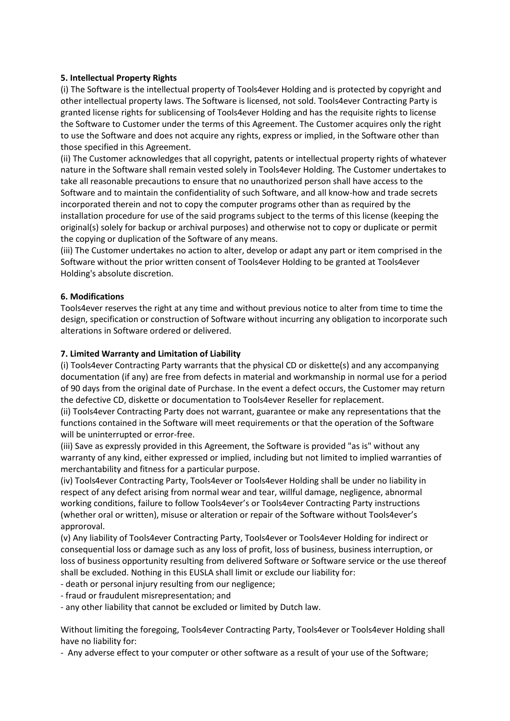## **5. Intellectual Property Rights**

(i) The Software is the intellectual property of Tools4ever Holding and is protected by copyright and other intellectual property laws. The Software is licensed, not sold. Tools4ever Contracting Party is granted license rights for sublicensing of Tools4ever Holding and has the requisite rights to license the Software to Customer under the terms of this Agreement. The Customer acquires only the right to use the Software and does not acquire any rights, express or implied, in the Software other than those specified in this Agreement.

(ii) The Customer acknowledges that all copyright, patents or intellectual property rights of whatever nature in the Software shall remain vested solely in Tools4ever Holding. The Customer undertakes to take all reasonable precautions to ensure that no unauthorized person shall have access to the Software and to maintain the confidentiality of such Software, and all know-how and trade secrets incorporated therein and not to copy the computer programs other than as required by the installation procedure for use of the said programs subject to the terms of this license (keeping the original(s) solely for backup or archival purposes) and otherwise not to copy or duplicate or permit the copying or duplication of the Software of any means.

(iii) The Customer undertakes no action to alter, develop or adapt any part or item comprised in the Software without the prior written consent of Tools4ever Holding to be granted at Tools4ever Holding's absolute discretion.

## **6. Modifications**

Tools4ever reserves the right at any time and without previous notice to alter from time to time the design, specification or construction of Software without incurring any obligation to incorporate such alterations in Software ordered or delivered.

## **7. Limited Warranty and Limitation of Liability**

(i) Tools4ever Contracting Party warrants that the physical CD or diskette(s) and any accompanying documentation (if any) are free from defects in material and workmanship in normal use for a period of 90 days from the original date of Purchase. In the event a defect occurs, the Customer may return the defective CD, diskette or documentation to Tools4ever Reseller for replacement.

(ii) Tools4ever Contracting Party does not warrant, guarantee or make any representations that the functions contained in the Software will meet requirements or that the operation of the Software will be uninterrupted or error-free.

(iii) Save as expressly provided in this Agreement, the Software is provided "as is" without any warranty of any kind, either expressed or implied, including but not limited to implied warranties of merchantability and fitness for a particular purpose.

(iv) Tools4ever Contracting Party, Tools4ever or Tools4ever Holding shall be under no liability in respect of any defect arising from normal wear and tear, willful damage, negligence, abnormal working conditions, failure to follow Tools4ever's or Tools4ever Contracting Party instructions (whether oral or written), misuse or alteration or repair of the Software without Tools4ever's approroval.

(v) Any liability of Tools4ever Contracting Party, Tools4ever or Tools4ever Holding for indirect or consequential loss or damage such as any loss of profit, loss of business, business interruption, or loss of business opportunity resulting from delivered Software or Software service or the use thereof shall be excluded. Nothing in this EUSLA shall limit or exclude our liability for:

- death or personal injury resulting from our negligence;

- fraud or fraudulent misrepresentation; and

- any other liability that cannot be excluded or limited by Dutch law.

Without limiting the foregoing, Tools4ever Contracting Party, Tools4ever or Tools4ever Holding shall have no liability for:

- Any adverse effect to your computer or other software as a result of your use of the Software;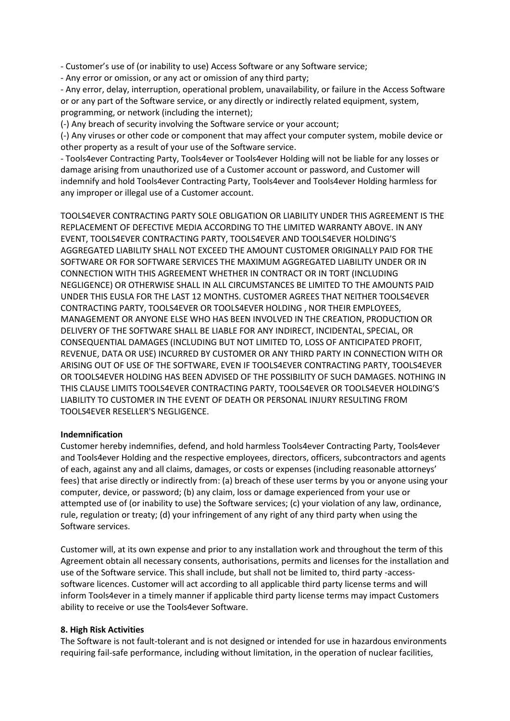- Customer's use of (or inability to use) Access Software or any Software service;

- Any error or omission, or any act or omission of any third party;

- Any error, delay, interruption, operational problem, unavailability, or failure in the Access Software or or any part of the Software service, or any directly or indirectly related equipment, system, programming, or network (including the internet);

(-) Any breach of security involving the Software service or your account;

(-) Any viruses or other code or component that may affect your computer system, mobile device or other property as a result of your use of the Software service.

- Tools4ever Contracting Party, Tools4ever or Tools4ever Holding will not be liable for any losses or damage arising from unauthorized use of a Customer account or password, and Customer will indemnify and hold Tools4ever Contracting Party, Tools4ever and Tools4ever Holding harmless for any improper or illegal use of a Customer account.

TOOLS4EVER CONTRACTING PARTY SOLE OBLIGATION OR LIABILITY UNDER THIS AGREEMENT IS THE REPLACEMENT OF DEFECTIVE MEDIA ACCORDING TO THE LIMITED WARRANTY ABOVE. IN ANY EVENT, TOOLS4EVER CONTRACTING PARTY, TOOLS4EVER AND TOOLS4EVER HOLDING'S AGGREGATED LIABILITY SHALL NOT EXCEED THE AMOUNT CUSTOMER ORIGINALLY PAID FOR THE SOFTWARE OR FOR SOFTWARE SERVICES THE MAXIMUM AGGREGATED LIABILITY UNDER OR IN CONNECTION WITH THIS AGREEMENT WHETHER IN CONTRACT OR IN TORT (INCLUDING NEGLIGENCE) OR OTHERWISE SHALL IN ALL CIRCUMSTANCES BE LIMITED TO THE AMOUNTS PAID UNDER THIS EUSLA FOR THE LAST 12 MONTHS. CUSTOMER AGREES THAT NEITHER TOOLS4EVER CONTRACTING PARTY, TOOLS4EVER OR TOOLS4EVER HOLDING , NOR THEIR EMPLOYEES, MANAGEMENT OR ANYONE ELSE WHO HAS BEEN INVOLVED IN THE CREATION, PRODUCTION OR DELIVERY OF THE SOFTWARE SHALL BE LIABLE FOR ANY INDIRECT, INCIDENTAL, SPECIAL, OR CONSEQUENTIAL DAMAGES (INCLUDING BUT NOT LIMITED TO, LOSS OF ANTICIPATED PROFIT, REVENUE, DATA OR USE) INCURRED BY CUSTOMER OR ANY THIRD PARTY IN CONNECTION WITH OR ARISING OUT OF USE OF THE SOFTWARE, EVEN IF TOOLS4EVER CONTRACTING PARTY, TOOLS4EVER OR TOOLS4EVER HOLDING HAS BEEN ADVISED OF THE POSSIBILITY OF SUCH DAMAGES. NOTHING IN THIS CLAUSE LIMITS TOOLS4EVER CONTRACTING PARTY, TOOLS4EVER OR TOOLS4EVER HOLDING'S LIABILITY TO CUSTOMER IN THE EVENT OF DEATH OR PERSONAL INJURY RESULTING FROM TOOLS4EVER RESELLER'S NEGLIGENCE.

### **Indemnification**

Customer hereby indemnifies, defend, and hold harmless Tools4ever Contracting Party, Tools4ever and Tools4ever Holding and the respective employees, directors, officers, subcontractors and agents of each, against any and all claims, damages, or costs or expenses (including reasonable attorneys' fees) that arise directly or indirectly from: (a) breach of these user terms by you or anyone using your computer, device, or password; (b) any claim, loss or damage experienced from your use or attempted use of (or inability to use) the Software services; (c) your violation of any law, ordinance, rule, regulation or treaty; (d) your infringement of any right of any third party when using the Software services.

Customer will, at its own expense and prior to any installation work and throughout the term of this Agreement obtain all necessary consents, authorisations, permits and licenses for the installation and use of the Software service. This shall include, but shall not be limited to, third party -accesssoftware licences. Customer will act according to all applicable third party license terms and will inform Tools4ever in a timely manner if applicable third party license terms may impact Customers ability to receive or use the Tools4ever Software.

### **8. High Risk Activities**

The Software is not fault-tolerant and is not designed or intended for use in hazardous environments requiring fail-safe performance, including without limitation, in the operation of nuclear facilities,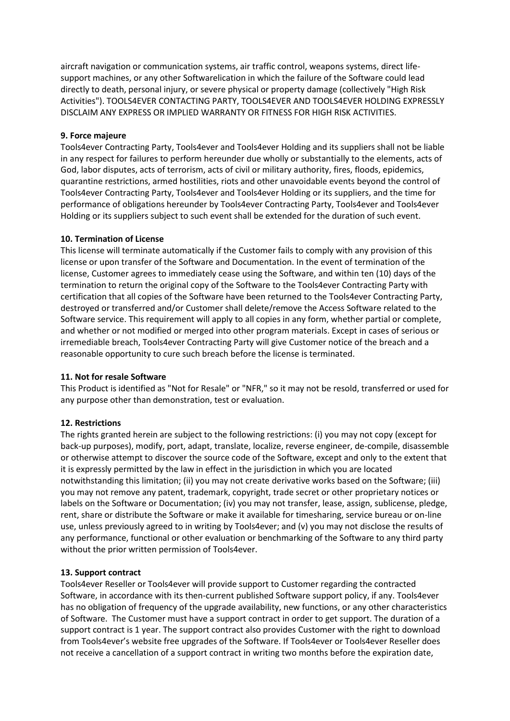aircraft navigation or communication systems, air traffic control, weapons systems, direct lifesupport machines, or any other Softwarelication in which the failure of the Software could lead directly to death, personal injury, or severe physical or property damage (collectively "High Risk Activities"). TOOLS4EVER CONTACTING PARTY, TOOLS4EVER AND TOOLS4EVER HOLDING EXPRESSLY DISCLAIM ANY EXPRESS OR IMPLIED WARRANTY OR FITNESS FOR HIGH RISK ACTIVITIES.

## **9. Force majeure**

Tools4ever Contracting Party, Tools4ever and Tools4ever Holding and its suppliers shall not be liable in any respect for failures to perform hereunder due wholly or substantially to the elements, acts of God, labor disputes, acts of terrorism, acts of civil or military authority, fires, floods, epidemics, quarantine restrictions, armed hostilities, riots and other unavoidable events beyond the control of Tools4ever Contracting Party, Tools4ever and Tools4ever Holding or its suppliers, and the time for performance of obligations hereunder by Tools4ever Contracting Party, Tools4ever and Tools4ever Holding or its suppliers subject to such event shall be extended for the duration of such event.

## **10. Termination of License**

This license will terminate automatically if the Customer fails to comply with any provision of this license or upon transfer of the Software and Documentation. In the event of termination of the license, Customer agrees to immediately cease using the Software, and within ten (10) days of the termination to return the original copy of the Software to the Tools4ever Contracting Party with certification that all copies of the Software have been returned to the Tools4ever Contracting Party, destroyed or transferred and/or Customer shall delete/remove the Access Software related to the Software service. This requirement will apply to all copies in any form, whether partial or complete, and whether or not modified or merged into other program materials. Except in cases of serious or irremediable breach, Tools4ever Contracting Party will give Customer notice of the breach and a reasonable opportunity to cure such breach before the license is terminated.

### **11. Not for resale Software**

This Product is identified as "Not for Resale" or "NFR," so it may not be resold, transferred or used for any purpose other than demonstration, test or evaluation.

# **12. Restrictions**

The rights granted herein are subject to the following restrictions: (i) you may not copy (except for back-up purposes), modify, port, adapt, translate, localize, reverse engineer, de-compile, disassemble or otherwise attempt to discover the source code of the Software, except and only to the extent that it is expressly permitted by the law in effect in the jurisdiction in which you are located notwithstanding this limitation; (ii) you may not create derivative works based on the Software; (iii) you may not remove any patent, trademark, copyright, trade secret or other proprietary notices or labels on the Software or Documentation; (iv) you may not transfer, lease, assign, sublicense, pledge, rent, share or distribute the Software or make it available for timesharing, service bureau or on-line use, unless previously agreed to in writing by Tools4ever; and (v) you may not disclose the results of any performance, functional or other evaluation or benchmarking of the Software to any third party without the prior written permission of Tools4ever.

### **13. Support contract**

Tools4ever Reseller or Tools4ever will provide support to Customer regarding the contracted Software, in accordance with its then-current published Software support policy, if any. Tools4ever has no obligation of frequency of the upgrade availability, new functions, or any other characteristics of Software. The Customer must have a support contract in order to get support. The duration of a support contract is 1 year. The support contract also provides Customer with the right to download from Tools4ever's website free upgrades of the Software. If Tools4ever or Tools4ever Reseller does not receive a cancellation of a support contract in writing two months before the expiration date,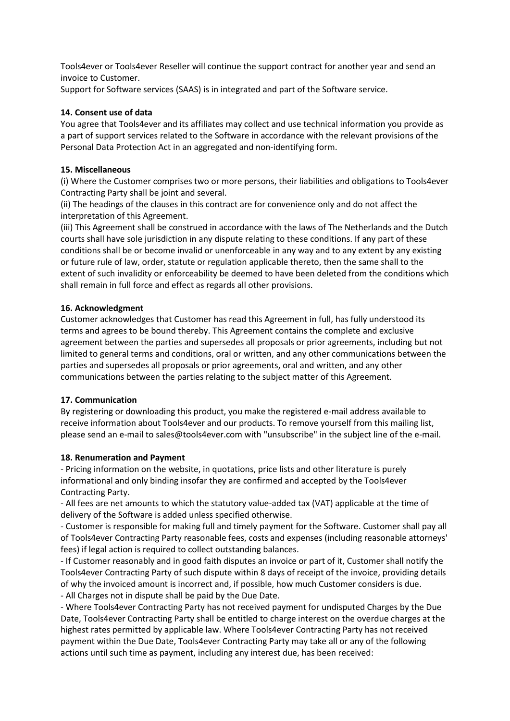Tools4ever or Tools4ever Reseller will continue the support contract for another year and send an invoice to Customer.

Support for Software services (SAAS) is in integrated and part of the Software service.

## **14. Consent use of data**

You agree that Tools4ever and its affiliates may collect and use technical information you provide as a part of support services related to the Software in accordance with the relevant provisions of the Personal Data Protection Act in an aggregated and non-identifying form.

## **15. Miscellaneous**

(i) Where the Customer comprises two or more persons, their liabilities and obligations to Tools4ever Contracting Party shall be joint and several.

(ii) The headings of the clauses in this contract are for convenience only and do not affect the interpretation of this Agreement.

(iii) This Agreement shall be construed in accordance with the laws of The Netherlands and the Dutch courts shall have sole jurisdiction in any dispute relating to these conditions. If any part of these conditions shall be or become invalid or unenforceable in any way and to any extent by any existing or future rule of law, order, statute or regulation applicable thereto, then the same shall to the extent of such invalidity or enforceability be deemed to have been deleted from the conditions which shall remain in full force and effect as regards all other provisions.

## **16. Acknowledgment**

Customer acknowledges that Customer has read this Agreement in full, has fully understood its terms and agrees to be bound thereby. This Agreement contains the complete and exclusive agreement between the parties and supersedes all proposals or prior agreements, including but not limited to general terms and conditions, oral or written, and any other communications between the parties and supersedes all proposals or prior agreements, oral and written, and any other communications between the parties relating to the subject matter of this Agreement.

### **17. Communication**

By registering or downloading this product, you make the registered e-mail address available to receive information about Tools4ever and our products. To remove yourself from this mailing list, please send an e-mail to sales@tools4ever.com with "unsubscribe" in the subject line of the e-mail.

### **18. Renumeration and Payment**

- Pricing information on the website, in quotations, price lists and other literature is purely informational and only binding insofar they are confirmed and accepted by the Tools4ever Contracting Party.

- All fees are net amounts to which the statutory value-added tax (VAT) applicable at the time of delivery of the Software is added unless specified otherwise.

- Customer is responsible for making full and timely payment for the Software. Customer shall pay all of Tools4ever Contracting Party reasonable fees, costs and expenses (including reasonable attorneys' fees) if legal action is required to collect outstanding balances.

- If Customer reasonably and in good faith disputes an invoice or part of it, Customer shall notify the Tools4ever Contracting Party of such dispute within 8 days of receipt of the invoice, providing details of why the invoiced amount is incorrect and, if possible, how much Customer considers is due. - All Charges not in dispute shall be paid by the Due Date.

- Where Tools4ever Contracting Party has not received payment for undisputed Charges by the Due Date, Tools4ever Contracting Party shall be entitled to charge interest on the overdue charges at the highest rates permitted by applicable law. Where Tools4ever Contracting Party has not received payment within the Due Date, Tools4ever Contracting Party may take all or any of the following actions until such time as payment, including any interest due, has been received: